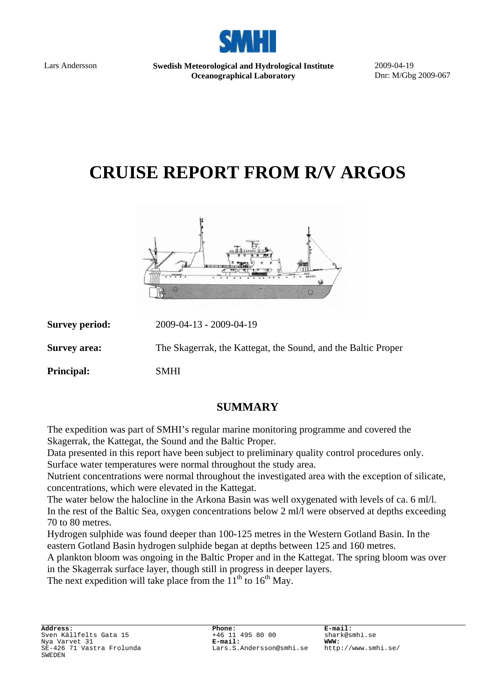

Lars Andersson **Swedish Meteorological and Hydrological Institute Oceanographical Laboratory** 

2009-04-19 Dnr: M/Gbg 2009-067

# **CRUISE REPORT FROM R/V ARGOS**



| <b>Survey period:</b> | 2009-04-13 - 2009-04-19                                       |
|-----------------------|---------------------------------------------------------------|
| <b>Survey area:</b>   | The Skagerrak, the Kattegat, the Sound, and the Baltic Proper |
| <b>Principal:</b>     | <b>SMHI</b>                                                   |

## **SUMMARY**

The expedition was part of SMHI's regular marine monitoring programme and covered the Skagerrak, the Kattegat, the Sound and the Baltic Proper.

Data presented in this report have been subject to preliminary quality control procedures only. Surface water temperatures were normal throughout the study area.

Nutrient concentrations were normal throughout the investigated area with the exception of silicate, concentrations, which were elevated in the Kattegat.

The water below the halocline in the Arkona Basin was well oxygenated with levels of ca. 6 ml/l. In the rest of the Baltic Sea, oxygen concentrations below 2 ml/l were observed at depths exceeding 70 to 80 metres.

Hydrogen sulphide was found deeper than 100-125 metres in the Western Gotland Basin. In the eastern Gotland Basin hydrogen sulphide began at depths between 125 and 160 metres.

A plankton bloom was ongoing in the Baltic Proper and in the Kattegat. The spring bloom was over in the Skagerrak surface layer, though still in progress in deeper layers.

The next expedition will take place from the  $11<sup>th</sup>$  to  $16<sup>th</sup>$  May.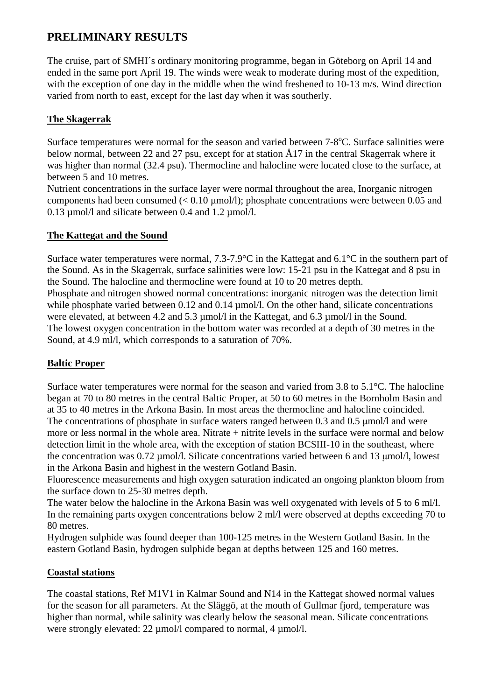## **PRELIMINARY RESULTS**

The cruise, part of SMHI´s ordinary monitoring programme, began in Göteborg on April 14 and ended in the same port April 19. The winds were weak to moderate during most of the expedition, with the exception of one day in the middle when the wind freshened to 10-13 m/s. Wind direction varied from north to east, except for the last day when it was southerly.

#### **The Skagerrak**

Surface temperatures were normal for the season and varied between  $7-8$ °C. Surface salinities were below normal, between 22 and 27 psu, except for at station Å17 in the central Skagerrak where it was higher than normal (32.4 psu). Thermocline and halocline were located close to the surface, at between 5 and 10 metres.

Nutrient concentrations in the surface layer were normal throughout the area, Inorganic nitrogen components had been consumed  $(< 0.10 \,\mu\text{mol/l})$ ; phosphate concentrations were between 0.05 and 0.13 µmol/l and silicate between 0.4 and 1.2 µmol/l.

#### **The Kattegat and the Sound**

Surface water temperatures were normal, 7.3-7.9°C in the Kattegat and 6.1°C in the southern part of the Sound. As in the Skagerrak, surface salinities were low: 15-21 psu in the Kattegat and 8 psu in the Sound. The halocline and thermocline were found at 10 to 20 metres depth.

Phosphate and nitrogen showed normal concentrations: inorganic nitrogen was the detection limit while phosphate varied between 0.12 and 0.14 umol/l. On the other hand, silicate concentrations were elevated, at between 4.2 and 5.3 umol/l in the Kattegat, and 6.3 umol/l in the Sound. The lowest oxygen concentration in the bottom water was recorded at a depth of 30 metres in the Sound, at 4.9 ml/l, which corresponds to a saturation of 70%.

#### **Baltic Proper**

Surface water temperatures were normal for the season and varied from 3.8 to 5.1°C. The halocline began at 70 to 80 metres in the central Baltic Proper, at 50 to 60 metres in the Bornholm Basin and at 35 to 40 metres in the Arkona Basin. In most areas the thermocline and halocline coincided. The concentrations of phosphate in surface waters ranged between 0.3 and 0.5  $\mu$ mol/l and were more or less normal in the whole area. Nitrate + nitrite levels in the surface were normal and below detection limit in the whole area, with the exception of station BCSIII-10 in the southeast, where the concentration was 0.72 µmol/l. Silicate concentrations varied between 6 and 13 µmol/l, lowest in the Arkona Basin and highest in the western Gotland Basin.

Fluorescence measurements and high oxygen saturation indicated an ongoing plankton bloom from the surface down to 25-30 metres depth.

The water below the halocline in the Arkona Basin was well oxygenated with levels of 5 to 6 ml/l. In the remaining parts oxygen concentrations below 2 ml/l were observed at depths exceeding 70 to 80 metres.

Hydrogen sulphide was found deeper than 100-125 metres in the Western Gotland Basin. In the eastern Gotland Basin, hydrogen sulphide began at depths between 125 and 160 metres.

#### **Coastal stations**

The coastal stations, Ref M1V1 in Kalmar Sound and N14 in the Kattegat showed normal values for the season for all parameters. At the Släggö, at the mouth of Gullmar fjord, temperature was higher than normal, while salinity was clearly below the seasonal mean. Silicate concentrations were strongly elevated: 22  $\mu$ mol/l compared to normal, 4  $\mu$ mol/l.